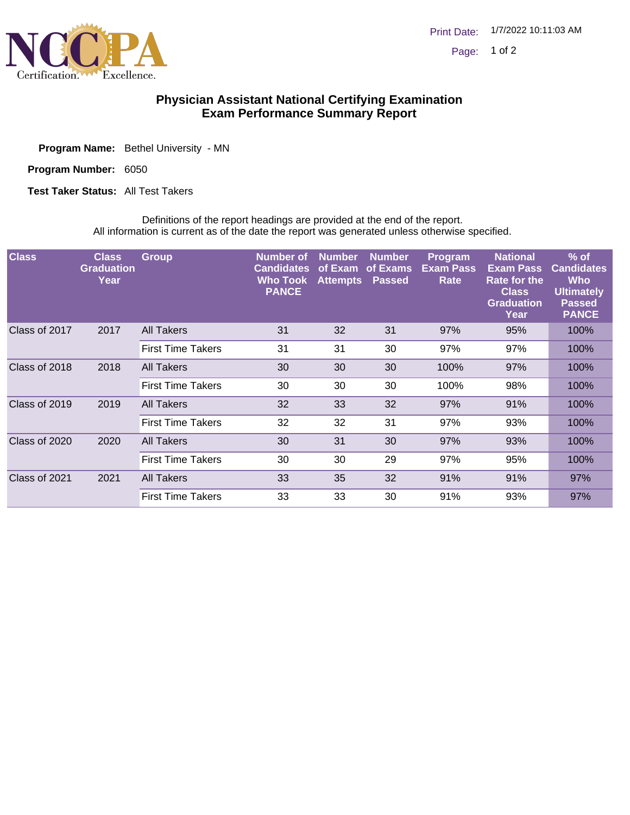

## **Physician Assistant National Certifying Examination Exam Performance Summary Report**

Program Name: Bethel University - MN

Program Number: 6050

**Test Taker Status: All Test Takers** 

Definitions of the report headings are provided at the end of the report. All information is current as of the date the report was generated unless otherwise specified.

| <b>Class</b>  | <b>Class</b><br><b>Graduation</b><br>Year | <b>Group</b>             | Number of<br><b>Candidates</b><br><b>Who Took</b><br><b>PANCE</b> | <b>Number</b><br>of Exam<br><b>Attempts</b> | Number,<br>of Exams<br><b>Passed</b> | <b>Program</b><br><b>Exam Pass</b><br>Rate | <b>National</b><br><b>Exam Pass</b><br><b>Rate for the</b><br><b>Class</b><br><b>Graduation</b><br>Year | $%$ of<br><b>Candidates</b><br><b>Who</b><br><b>Ultimately</b><br><b>Passed</b><br><b>PANCE</b> |
|---------------|-------------------------------------------|--------------------------|-------------------------------------------------------------------|---------------------------------------------|--------------------------------------|--------------------------------------------|---------------------------------------------------------------------------------------------------------|-------------------------------------------------------------------------------------------------|
| Class of 2017 | 2017                                      | All Takers               | 31                                                                | 32                                          | 31                                   | 97%                                        | 95%                                                                                                     | 100%                                                                                            |
|               |                                           | <b>First Time Takers</b> | 31                                                                | 31                                          | 30                                   | 97%                                        | 97%                                                                                                     | 100%                                                                                            |
| Class of 2018 | 2018                                      | All Takers               | 30                                                                | 30                                          | 30                                   | 100%                                       | 97%                                                                                                     | 100%                                                                                            |
|               |                                           | <b>First Time Takers</b> | 30                                                                | 30                                          | 30                                   | 100%                                       | 98%                                                                                                     | 100%                                                                                            |
| Class of 2019 | 2019                                      | All Takers               | 32                                                                | 33                                          | 32                                   | 97%                                        | 91%                                                                                                     | 100%                                                                                            |
|               |                                           | <b>First Time Takers</b> | 32                                                                | 32                                          | 31                                   | 97%                                        | 93%                                                                                                     | 100%                                                                                            |
| Class of 2020 | 2020                                      | All Takers               | 30                                                                | 31                                          | 30                                   | 97%                                        | 93%                                                                                                     | 100%                                                                                            |
|               |                                           | <b>First Time Takers</b> | 30                                                                | 30                                          | 29                                   | 97%                                        | 95%                                                                                                     | 100%                                                                                            |
| Class of 2021 | 2021                                      | All Takers               | 33                                                                | 35                                          | 32                                   | 91%                                        | 91%                                                                                                     | 97%                                                                                             |
|               |                                           | <b>First Time Takers</b> | 33                                                                | 33                                          | 30                                   | 91%                                        | 93%                                                                                                     | 97%                                                                                             |